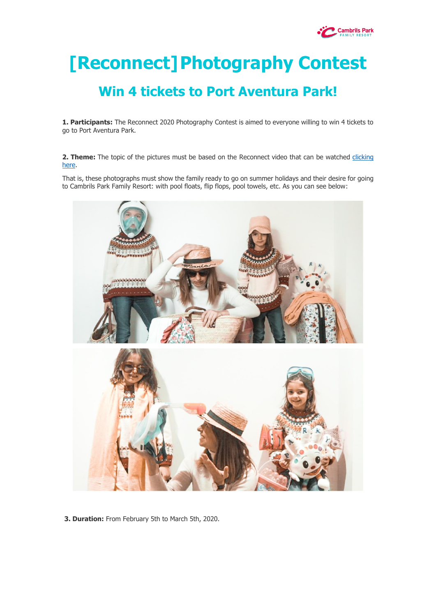

# **[Reconnect]Photography Contest**

# **Win 4 tickets to Port Aventura Park!**

**1. Participants:** The Reconnect 2020 Photography Contest is aimed to everyone willing to win 4 tickets to go to Port Aventura Park.

2. Theme: The topic of the pictures must be based on the Reconnect video that can be watched clicking [here.](https://www.youtube.com/watch?v=68iAf_ley_4)

That is, these photographs must show the family ready to go on summer holidays and their desire for going to Cambrils Park Family Resort: with pool floats, flip flops, pool towels, etc. As you can see below:



**3. Duration:** From February 5th to March 5th, 2020.